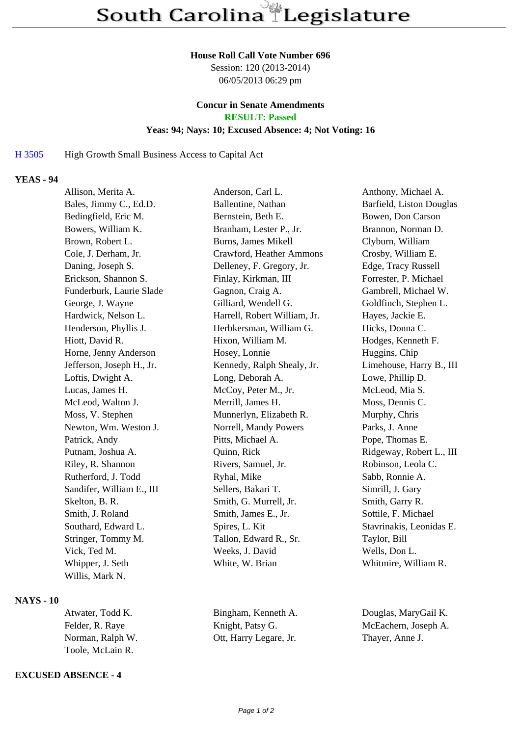#### **House Roll Call Vote Number 696**

Session: 120 (2013-2014) 06/05/2013 06:29 pm

# **Concur in Senate Amendments**

**RESULT: Passed**

## **Yeas: 94; Nays: 10; Excused Absence: 4; Not Voting: 16**

### H 3505 High Growth Small Business Access to Capital Act

# **YEAS - 94**

| Allison, Merita A.        | Anderson, Carl L.            | Anthony, Michael A.      |
|---------------------------|------------------------------|--------------------------|
| Bales, Jimmy C., Ed.D.    | Ballentine, Nathan           | Barfield, Liston Douglas |
| Bedingfield, Eric M.      | Bernstein, Beth E.           | Bowen, Don Carson        |
| Bowers, William K.        | Branham, Lester P., Jr.      | Brannon, Norman D.       |
| Brown, Robert L.          | Burns, James Mikell          | Clyburn, William         |
| Cole, J. Derham, Jr.      | Crawford, Heather Ammons     | Crosby, William E.       |
| Daning, Joseph S.         | Delleney, F. Gregory, Jr.    | Edge, Tracy Russell      |
| Erickson, Shannon S.      | Finlay, Kirkman, III         | Forrester, P. Michael    |
| Funderburk, Laurie Slade  | Gagnon, Craig A.             | Gambrell, Michael W.     |
| George, J. Wayne          | Gilliard, Wendell G.         | Goldfinch, Stephen L.    |
| Hardwick, Nelson L.       | Harrell, Robert William, Jr. | Hayes, Jackie E.         |
| Henderson, Phyllis J.     | Herbkersman, William G.      | Hicks, Donna C.          |
| Hiott, David R.           | Hixon, William M.            | Hodges, Kenneth F.       |
| Horne, Jenny Anderson     | Hosey, Lonnie                | Huggins, Chip            |
| Jefferson, Joseph H., Jr. | Kennedy, Ralph Shealy, Jr.   | Limehouse, Harry B., III |
| Loftis, Dwight A.         | Long, Deborah A.             | Lowe, Phillip D.         |
| Lucas, James H.           | McCoy, Peter M., Jr.         | McLeod, Mia S.           |
| McLeod, Walton J.         | Merrill, James H.            | Moss, Dennis C.          |
| Moss, V. Stephen          | Munnerlyn, Elizabeth R.      | Murphy, Chris            |
| Newton, Wm. Weston J.     | Norrell, Mandy Powers        | Parks, J. Anne           |
| Patrick, Andy             | Pitts, Michael A.            | Pope, Thomas E.          |
| Putnam, Joshua A.         | Quinn, Rick                  | Ridgeway, Robert L., III |
| Riley, R. Shannon         | Rivers, Samuel, Jr.          | Robinson, Leola C.       |
| Rutherford, J. Todd       | Ryhal, Mike                  | Sabb, Ronnie A.          |
| Sandifer, William E., III | Sellers, Bakari T.           | Simrill, J. Gary         |
| Skelton, B. R.            | Smith, G. Murrell, Jr.       | Smith, Garry R.          |
| Smith, J. Roland          | Smith, James E., Jr.         | Sottile, F. Michael      |
| Southard, Edward L.       | Spires, L. Kit               | Stavrinakis, Leonidas E. |
| Stringer, Tommy M.        | Tallon, Edward R., Sr.       | Taylor, Bill             |
| Vick, Ted M.              | Weeks, J. David              | Wells, Don L.            |
| Whipper, J. Seth          | White, W. Brian              | Whitmire, William R.     |
| Willis, Mark N.           |                              |                          |

#### **NAYS - 10**

| Atwater, Todd K. | Bingham, Kenneth A.    |
|------------------|------------------------|
| Felder, R. Raye  | Knight, Patsy G.       |
| Norman, Ralph W. | Ott, Harry Legare, Jr. |
| Toole, McLain R. |                        |

# Douglas, MaryGail K. McEachern, Joseph A. Thayer, Anne J.

# **EXCUSED ABSENCE - 4**